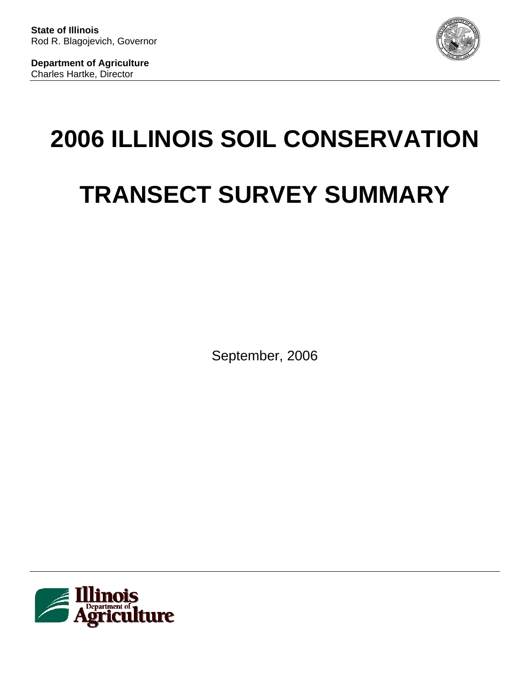

**Department of Agriculture**  Charles Hartke, Director

# **2006 ILLINOIS SOIL CONSERVATION TRANSECT SURVEY SUMMARY**

September, 2006

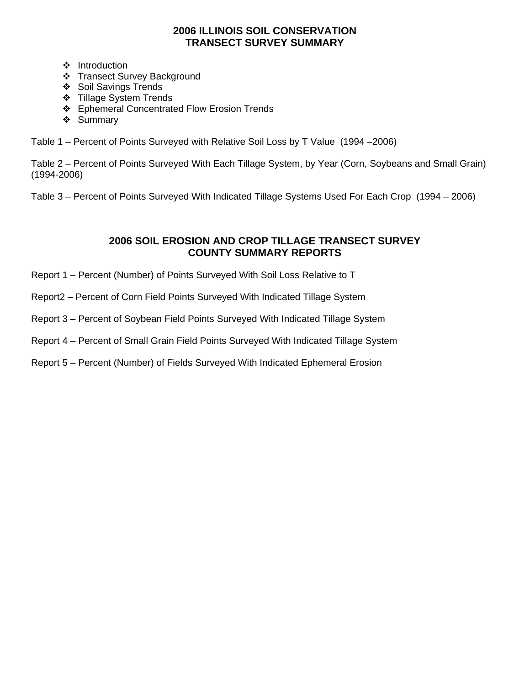## **2006 ILLINOIS SOIL CONSERVATION TRANSECT SURVEY SUMMARY**

- ❖ Introduction
- Transect Survey Background
- ❖ Soil Savings Trends
- ❖ Tillage System Trends
- Ephemeral Concentrated Flow Erosion Trends
- ❖ Summary

Table 1 – Percent of Points Surveyed with Relative Soil Loss by T Value (1994 –2006)

Table 2 – Percent of Points Surveyed With Each Tillage System, by Year (Corn, Soybeans and Small Grain) (1994-2006)

Table 3 – Percent of Points Surveyed With Indicated Tillage Systems Used For Each Crop (1994 – 2006)

## **2006 SOIL EROSION AND CROP TILLAGE TRANSECT SURVEY COUNTY SUMMARY REPORTS**

- Report 1 Percent (Number) of Points Surveyed With Soil Loss Relative to T
- Report2 Percent of Corn Field Points Surveyed With Indicated Tillage System
- Report 3 Percent of Soybean Field Points Surveyed With Indicated Tillage System
- Report 4 Percent of Small Grain Field Points Surveyed With Indicated Tillage System
- Report 5 Percent (Number) of Fields Surveyed With Indicated Ephemeral Erosion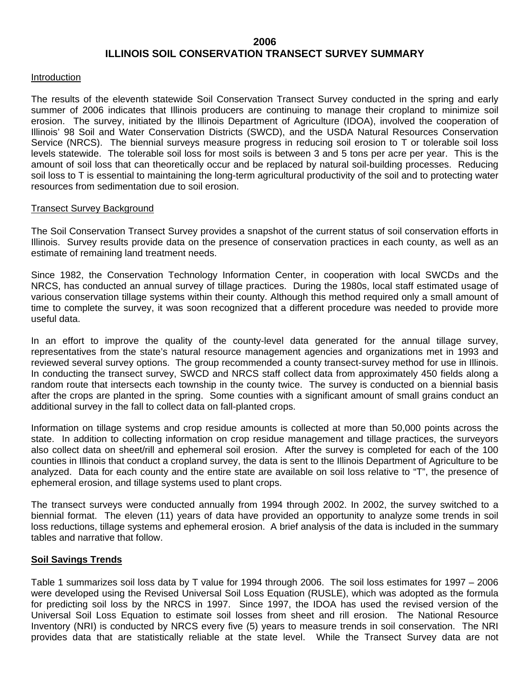## **2006 ILLINOIS SOIL CONSERVATION TRANSECT SURVEY SUMMARY**

#### Introduction

The results of the eleventh statewide Soil Conservation Transect Survey conducted in the spring and early summer of 2006 indicates that Illinois producers are continuing to manage their cropland to minimize soil erosion. The survey, initiated by the Illinois Department of Agriculture (IDOA), involved the cooperation of Illinois' 98 Soil and Water Conservation Districts (SWCD), and the USDA Natural Resources Conservation Service (NRCS). The biennial surveys measure progress in reducing soil erosion to T or tolerable soil loss levels statewide. The tolerable soil loss for most soils is between 3 and 5 tons per acre per year. This is the amount of soil loss that can theoretically occur and be replaced by natural soil-building processes. Reducing soil loss to T is essential to maintaining the long-term agricultural productivity of the soil and to protecting water resources from sedimentation due to soil erosion.

#### Transect Survey Background

The Soil Conservation Transect Survey provides a snapshot of the current status of soil conservation efforts in Illinois. Survey results provide data on the presence of conservation practices in each county, as well as an estimate of remaining land treatment needs.

Since 1982, the Conservation Technology Information Center, in cooperation with local SWCDs and the NRCS, has conducted an annual survey of tillage practices. During the 1980s, local staff estimated usage of various conservation tillage systems within their county. Although this method required only a small amount of time to complete the survey, it was soon recognized that a different procedure was needed to provide more useful data.

In an effort to improve the quality of the county-level data generated for the annual tillage survey, representatives from the state's natural resource management agencies and organizations met in 1993 and reviewed several survey options. The group recommended a county transect-survey method for use in Illinois. In conducting the transect survey, SWCD and NRCS staff collect data from approximately 450 fields along a random route that intersects each township in the county twice. The survey is conducted on a biennial basis after the crops are planted in the spring. Some counties with a significant amount of small grains conduct an additional survey in the fall to collect data on fall-planted crops.

Information on tillage systems and crop residue amounts is collected at more than 50,000 points across the state. In addition to collecting information on crop residue management and tillage practices, the surveyors also collect data on sheet/rill and ephemeral soil erosion. After the survey is completed for each of the 100 counties in Illinois that conduct a cropland survey, the data is sent to the Illinois Department of Agriculture to be analyzed. Data for each county and the entire state are available on soil loss relative to "T", the presence of ephemeral erosion, and tillage systems used to plant crops.

The transect surveys were conducted annually from 1994 through 2002. In 2002, the survey switched to a biennial format. The eleven (11) years of data have provided an opportunity to analyze some trends in soil loss reductions, tillage systems and ephemeral erosion. A brief analysis of the data is included in the summary tables and narrative that follow.

#### **Soil Savings Trends**

Table 1 summarizes soil loss data by T value for 1994 through 2006. The soil loss estimates for 1997 – 2006 were developed using the Revised Universal Soil Loss Equation (RUSLE), which was adopted as the formula for predicting soil loss by the NRCS in 1997. Since 1997, the IDOA has used the revised version of the Universal Soil Loss Equation to estimate soil losses from sheet and rill erosion. The National Resource Inventory (NRI) is conducted by NRCS every five (5) years to measure trends in soil conservation. The NRI provides data that are statistically reliable at the state level. While the Transect Survey data are not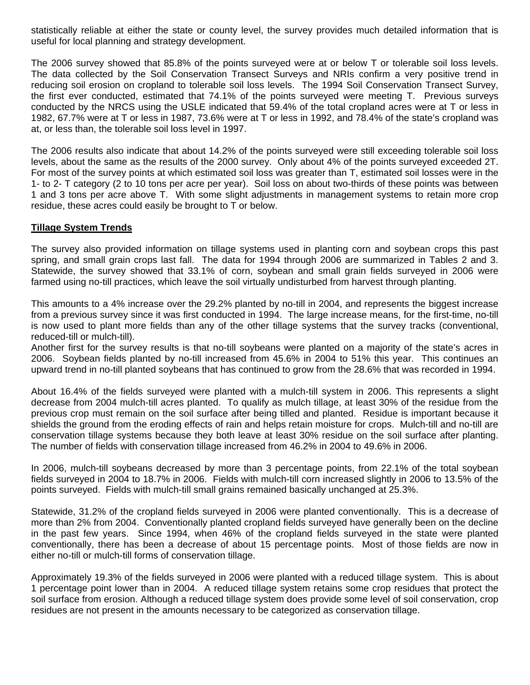statistically reliable at either the state or county level, the survey provides much detailed information that is useful for local planning and strategy development.

The 2006 survey showed that 85.8% of the points surveyed were at or below T or tolerable soil loss levels. The data collected by the Soil Conservation Transect Surveys and NRIs confirm a very positive trend in reducing soil erosion on cropland to tolerable soil loss levels. The 1994 Soil Conservation Transect Survey, the first ever conducted, estimated that 74.1% of the points surveyed were meeting T. Previous surveys conducted by the NRCS using the USLE indicated that 59.4% of the total cropland acres were at T or less in 1982, 67.7% were at T or less in 1987, 73.6% were at T or less in 1992, and 78.4% of the state's cropland was at, or less than, the tolerable soil loss level in 1997.

The 2006 results also indicate that about 14.2% of the points surveyed were still exceeding tolerable soil loss levels, about the same as the results of the 2000 survey. Only about 4% of the points surveyed exceeded 2T. For most of the survey points at which estimated soil loss was greater than T, estimated soil losses were in the 1- to 2- T category (2 to 10 tons per acre per year). Soil loss on about two-thirds of these points was between 1 and 3 tons per acre above T. With some slight adjustments in management systems to retain more crop residue, these acres could easily be brought to T or below.

#### **Tillage System Trends**

The survey also provided information on tillage systems used in planting corn and soybean crops this past spring, and small grain crops last fall. The data for 1994 through 2006 are summarized in Tables 2 and 3. Statewide, the survey showed that 33.1% of corn, soybean and small grain fields surveyed in 2006 were farmed using no-till practices, which leave the soil virtually undisturbed from harvest through planting.

This amounts to a 4% increase over the 29.2% planted by no-till in 2004, and represents the biggest increase from a previous survey since it was first conducted in 1994. The large increase means, for the first-time, no-till is now used to plant more fields than any of the other tillage systems that the survey tracks (conventional, reduced-till or mulch-till).

Another first for the survey results is that no-till soybeans were planted on a majority of the state's acres in 2006. Soybean fields planted by no-till increased from 45.6% in 2004 to 51% this year. This continues an upward trend in no-till planted soybeans that has continued to grow from the 28.6% that was recorded in 1994.

About 16.4% of the fields surveyed were planted with a mulch-till system in 2006. This represents a slight decrease from 2004 mulch-till acres planted. To qualify as mulch tillage, at least 30% of the residue from the previous crop must remain on the soil surface after being tilled and planted. Residue is important because it shields the ground from the eroding effects of rain and helps retain moisture for crops. Mulch-till and no-till are conservation tillage systems because they both leave at least 30% residue on the soil surface after planting. The number of fields with conservation tillage increased from 46.2% in 2004 to 49.6% in 2006.

In 2006, mulch-till soybeans decreased by more than 3 percentage points, from 22.1% of the total soybean fields surveyed in 2004 to 18.7% in 2006. Fields with mulch-till corn increased slightly in 2006 to 13.5% of the points surveyed. Fields with mulch-till small grains remained basically unchanged at 25.3%.

Statewide, 31.2% of the cropland fields surveyed in 2006 were planted conventionally. This is a decrease of more than 2% from 2004. Conventionally planted cropland fields surveyed have generally been on the decline in the past few years. Since 1994, when 46% of the cropland fields surveyed in the state were planted conventionally, there has been a decrease of about 15 percentage points. Most of those fields are now in either no-till or mulch-till forms of conservation tillage.

Approximately 19.3% of the fields surveyed in 2006 were planted with a reduced tillage system. This is about 1 percentage point lower than in 2004. A reduced tillage system retains some crop residues that protect the soil surface from erosion. Although a reduced tillage system does provide some level of soil conservation, crop residues are not present in the amounts necessary to be categorized as conservation tillage.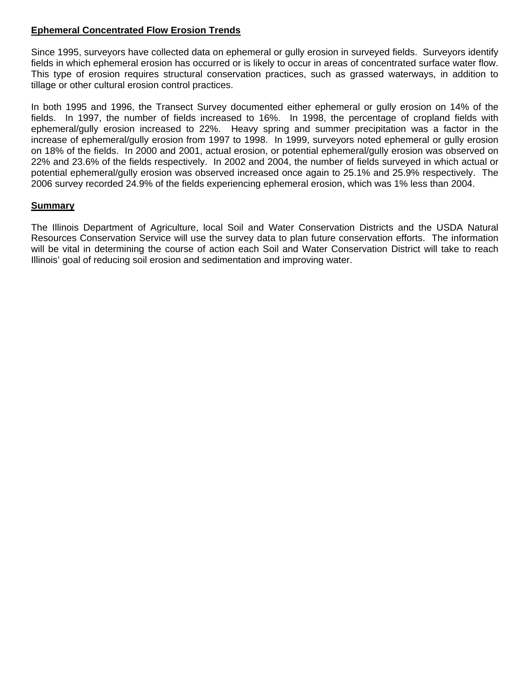## **Ephemeral Concentrated Flow Erosion Trends**

Since 1995, surveyors have collected data on ephemeral or gully erosion in surveyed fields. Surveyors identify fields in which ephemeral erosion has occurred or is likely to occur in areas of concentrated surface water flow. This type of erosion requires structural conservation practices, such as grassed waterways, in addition to tillage or other cultural erosion control practices.

In both 1995 and 1996, the Transect Survey documented either ephemeral or gully erosion on 14% of the fields. In 1997, the number of fields increased to 16%. In 1998, the percentage of cropland fields with ephemeral/gully erosion increased to 22%. Heavy spring and summer precipitation was a factor in the increase of ephemeral/gully erosion from 1997 to 1998. In 1999, surveyors noted ephemeral or gully erosion on 18% of the fields. In 2000 and 2001, actual erosion, or potential ephemeral/gully erosion was observed on 22% and 23.6% of the fields respectively. In 2002 and 2004, the number of fields surveyed in which actual or potential ephemeral/gully erosion was observed increased once again to 25.1% and 25.9% respectively. The 2006 survey recorded 24.9% of the fields experiencing ephemeral erosion, which was 1% less than 2004.

#### **Summary**

The Illinois Department of Agriculture, local Soil and Water Conservation Districts and the USDA Natural Resources Conservation Service will use the survey data to plan future conservation efforts. The information will be vital in determining the course of action each Soil and Water Conservation District will take to reach Illinois' goal of reducing soil erosion and sedimentation and improving water.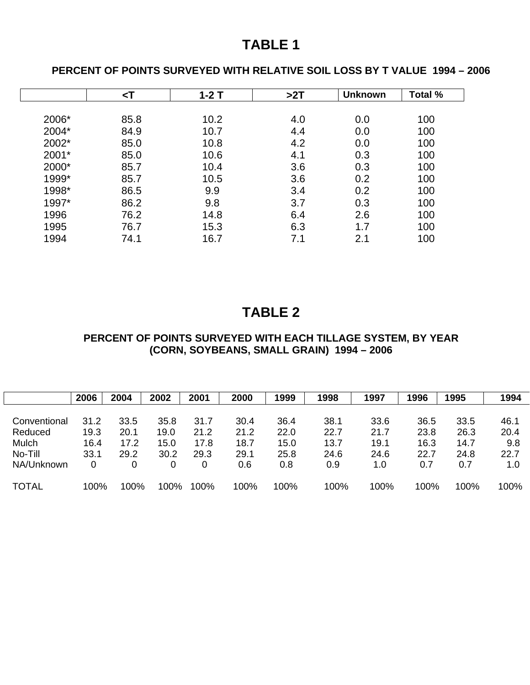# **TABLE 1**

# **PERCENT OF POINTS SURVEYED WITH RELATIVE SOIL LOSS BY T VALUE 1994 – 2006**

|       | $\leq$ T | $1-2T$ | >2T | <b>Unknown</b> | Total % |
|-------|----------|--------|-----|----------------|---------|
|       |          |        |     |                |         |
| 2006* | 85.8     | 10.2   | 4.0 | 0.0            | 100     |
| 2004* | 84.9     | 10.7   | 4.4 | 0.0            | 100     |
| 2002* | 85.0     | 10.8   | 4.2 | 0.0            | 100     |
| 2001* | 85.0     | 10.6   | 4.1 | 0.3            | 100     |
| 2000* | 85.7     | 10.4   | 3.6 | 0.3            | 100     |
| 1999* | 85.7     | 10.5   | 3.6 | 0.2            | 100     |
| 1998* | 86.5     | 9.9    | 3.4 | 0.2            | 100     |
| 1997* | 86.2     | 9.8    | 3.7 | 0.3            | 100     |
| 1996  | 76.2     | 14.8   | 6.4 | 2.6            | 100     |
| 1995  | 76.7     | 15.3   | 6.3 | 1.7            | 100     |
| 1994  | 74.1     | 16.7   | 7.1 | 2.1            | 100     |

# **TABLE 2**

# **PERCENT OF POINTS SURVEYED WITH EACH TILLAGE SYSTEM, BY YEAR (CORN, SOYBEANS, SMALL GRAIN) 1994 – 2006**

|              | 2006 | 2004 | 2002 | 2001 | 2000 | 1999 | 1998 | 1997 | 1996 | 1995 | 1994 |
|--------------|------|------|------|------|------|------|------|------|------|------|------|
|              |      |      |      |      |      |      |      |      |      |      |      |
| Conventional | 31.2 | 33.5 | 35.8 | 31.7 | 30.4 | 36.4 | 38.1 | 33.6 | 36.5 | 33.5 | 46.1 |
| Reduced      | 19.3 | 20.1 | 19.0 | 21.2 | 21.2 | 22.0 | 22.7 | 21.7 | 23.8 | 26.3 | 20.4 |
| Mulch        | 16.4 | 17.2 | 15.0 | 17.8 | 18.7 | 15.0 | 13.7 | 19.1 | 16.3 | 14.7 | 9.8  |
| No-Till      | 33.1 | 29.2 | 30.2 | 29.3 | 29.1 | 25.8 | 24.6 | 24.6 | 22.7 | 24.8 | 22.7 |
| NA/Unknown   | 0    | 0    | 0    | 0    | 0.6  | 0.8  | 0.9  | 1.0  | 0.7  | 0.7  | 1.0  |
| <b>TOTAL</b> | 100% | 100% | 100% | 100% | 100% | 100% | 100% | 100% | 100% | 100% | 100% |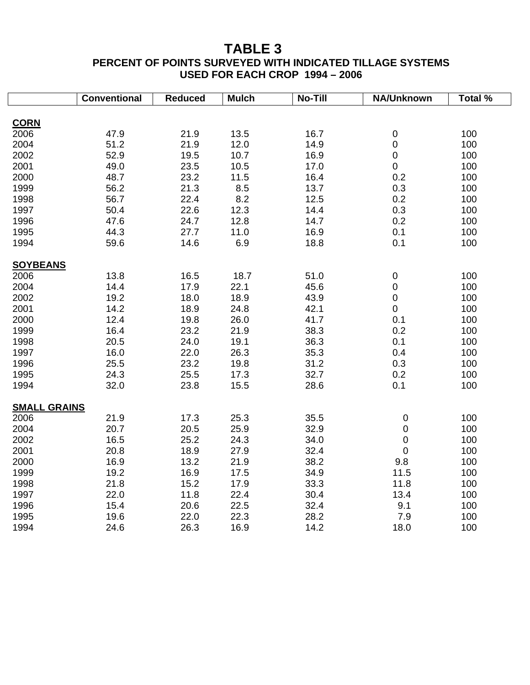# **TABLE 3**

# **PERCENT OF POINTS SURVEYED WITH INDICATED TILLAGE SYSTEMS USED FOR EACH CROP 1994 – 2006**

|                     | <b>Conventional</b> | <b>Reduced</b> | <b>Mulch</b> | No-Till | NA/Unknown       | Total % |
|---------------------|---------------------|----------------|--------------|---------|------------------|---------|
|                     |                     |                |              |         |                  |         |
| <b>CORN</b>         |                     |                |              |         |                  |         |
| 2006                | 47.9                | 21.9           | 13.5         | 16.7    | $\pmb{0}$        | 100     |
| 2004                | 51.2                | 21.9           | 12.0         | 14.9    | $\pmb{0}$        | 100     |
| 2002                | 52.9                | 19.5           | 10.7         | 16.9    | $\mathbf 0$      | 100     |
| 2001                | 49.0                | 23.5           | 10.5         | 17.0    | $\mathbf 0$      | 100     |
| 2000                | 48.7                | 23.2           | 11.5         | 16.4    | 0.2              | 100     |
| 1999                | 56.2                | 21.3           | 8.5          | 13.7    | 0.3              | 100     |
| 1998                | 56.7                | 22.4           | 8.2          | 12.5    | 0.2              | 100     |
| 1997                | 50.4                | 22.6           | 12.3         | 14.4    | 0.3              | 100     |
| 1996                | 47.6                | 24.7           | 12.8         | 14.7    | 0.2              | 100     |
| 1995                | 44.3                | 27.7           | 11.0         | 16.9    | 0.1              | 100     |
| 1994                | 59.6                | 14.6           | 6.9          | 18.8    | 0.1              | 100     |
| <b>SOYBEANS</b>     |                     |                |              |         |                  |         |
| 2006                | 13.8                | 16.5           | 18.7         | 51.0    | $\pmb{0}$        | 100     |
| 2004                | 14.4                | 17.9           | 22.1         | 45.6    | $\pmb{0}$        | 100     |
| 2002                | 19.2                | 18.0           | 18.9         | 43.9    | $\mathsf 0$      | 100     |
| 2001                | 14.2                | 18.9           | 24.8         | 42.1    | $\mathbf 0$      | 100     |
| 2000                | 12.4                | 19.8           | 26.0         | 41.7    | 0.1              | 100     |
| 1999                | 16.4                | 23.2           | 21.9         | 38.3    | 0.2              | 100     |
| 1998                | 20.5                | 24.0           | 19.1         | 36.3    | 0.1              | 100     |
| 1997                | 16.0                | 22.0           | 26.3         | 35.3    | 0.4              | 100     |
| 1996                | 25.5                | 23.2           | 19.8         | 31.2    | 0.3              | 100     |
| 1995                | 24.3                | 25.5           | 17.3         | 32.7    | 0.2              | 100     |
| 1994                | 32.0                | 23.8           | 15.5         | 28.6    | 0.1              | 100     |
|                     |                     |                |              |         |                  |         |
| <b>SMALL GRAINS</b> |                     |                |              |         |                  |         |
| 2006                | 21.9                | 17.3           | 25.3         | 35.5    | 0                | 100     |
| 2004                | 20.7                | 20.5           | 25.9         | 32.9    | $\boldsymbol{0}$ | 100     |
| 2002                | 16.5                | 25.2           | 24.3         | 34.0    | 0                | 100     |
| 2001                | 20.8                | 18.9           | 27.9         | 32.4    | $\boldsymbol{0}$ | 100     |
| 2000                | 16.9                | 13.2           | 21.9         | 38.2    | 9.8              | 100     |
| 1999                | 19.2                | 16.9           | 17.5         | 34.9    | 11.5             | 100     |
| 1998                | 21.8                | 15.2           | 17.9         | 33.3    | 11.8             | 100     |
| 1997                | 22.0                | 11.8           | 22.4         | 30.4    | 13.4             | 100     |
| 1996                | 15.4                | 20.6           | 22.5         | 32.4    | 9.1              | 100     |
| 1995                | 19.6                | 22.0           | 22.3         | 28.2    | 7.9              | 100     |
| 1994                | 24.6                | 26.3           | 16.9         | 14.2    | 18.0             | 100     |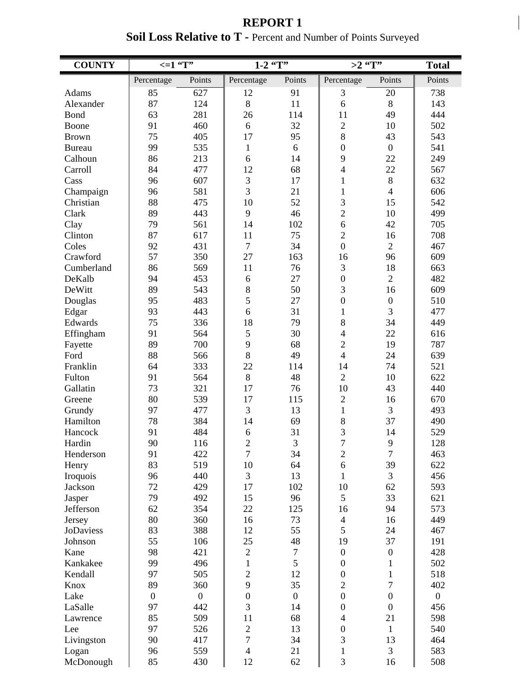| <b>REPORT 1</b>                                                        |
|------------------------------------------------------------------------|
| <b>Soil Loss Relative to T - Percent and Number of Points Surveyed</b> |

| <b>COUNTY</b>   | $\leq 1$ $\overline{r}$ |                  | $1-2$ $\overline{ST''}$ |                | >2 $\sqrt{\text{T''}}$   |                  | <b>Total</b>   |
|-----------------|-------------------------|------------------|-------------------------|----------------|--------------------------|------------------|----------------|
|                 | Percentage              | Points           | Percentage              | Points         | Percentage               | Points           | Points         |
| Adams           | 85                      | 627              | 12                      | 91             | 3                        | 20               | 738            |
| Alexander       | 87                      | 124              | 8                       | 11             | 6                        | 8                | 143            |
| Bond            | 63                      | 281              | 26                      | 114            | 11                       | 49               | 444            |
| Boone           | 91                      | 460              | 6                       | 32             | $\sqrt{2}$               | 10               | 502            |
| <b>Brown</b>    | 75                      | 405              | 17                      | 95             | 8                        | 43               | 543            |
| <b>Bureau</b>   | 99                      | 535              | $\mathbf{1}$            | 6              | $\boldsymbol{0}$         | $\boldsymbol{0}$ | 541            |
| Calhoun         | 86                      | 213              | 6                       | 14             | 9                        | 22               | 249            |
| Carroll         | 84                      | 477              | 12                      | 68             | $\overline{4}$           | 22               | 567            |
| Cass            | 96                      | 607              | 3                       | 17             | $\mathbf{1}$             | 8                | 632            |
| Champaign       | 96                      | 581              | $\overline{3}$          | 21             | $\mathbf{1}$             | $\overline{4}$   | 606            |
| Christian       | 88                      | 475              | 10                      | 52             | 3                        | 15               | 542            |
| Clark           | 89                      | 443              | 9                       | 46             | $\overline{c}$           | 10               | 499            |
| Clay            | 79                      | 561              | 14                      | 102            | 6                        | 42               | 705            |
| Clinton         | 87                      | 617              | 11                      | 75             | $\overline{2}$           | 16               | 708            |
| Coles           | 92                      | 431              | $\overline{7}$          | 34             | $\overline{0}$           | $\overline{2}$   | 467            |
| Crawford        | 57                      | 350              | 27                      | 163            | 16                       | 96               | 609            |
| Cumberland      | 86                      | 569              | 11                      | 76             | 3                        | 18               | 663            |
| DeKalb          | 94                      | 453              | 6                       | 27             | $\boldsymbol{0}$         | $\overline{2}$   | 482            |
| DeWitt          | 89                      | 543              | 8                       | 50             | 3                        | 16               | 609            |
| Douglas         | 95                      | 483              | 5                       | 27             | $\boldsymbol{0}$         | $\boldsymbol{0}$ | 510            |
| Edgar           | 93                      | 443              | 6                       | 31             | $\mathbf{1}$             | 3                | 477            |
| Edwards         | 75                      | 336              | 18                      | 79             | 8                        | 34               | 449            |
| Effingham       | 91                      | 564              | 5                       | 30             | $\overline{\mathcal{A}}$ | 22               | 616            |
| Fayette         | 89                      | 700              | 9                       | 68             | $\sqrt{2}$               | 19               | 787            |
| Ford            | 88                      | 566              | 8                       | 49             | $\overline{4}$           | 24               | 639            |
| Franklin        | 64                      | 333              | 22                      | 114            | 14                       | 74               | 521            |
| Fulton          | 91                      | 564              | 8                       | 48             | $\overline{2}$           | 10               | 622            |
| Gallatin        | 73                      | 321              | 17                      | 76             | 10                       | 43               | 440            |
| Greene          | 80                      | 539              | 17                      | 115            | $\overline{2}$           | 16               | 670            |
| Grundy          | 97                      | 477              | 3                       | 13             | $\mathbf{1}$             | 3                | 493            |
| Hamilton        | 78                      | 384              | 14                      | 69             | 8                        | 37               | 490            |
| Hancock         | 91                      | 484              | 6                       | 31             | 3                        | 14               | 529            |
| Hardin          | 90                      | 116              | $\overline{c}$          | 3              | $\boldsymbol{7}$         | $\mathbf{9}$     | 128            |
| Henderson       | 91                      | 422              | $\tau$                  | 34             | $\boldsymbol{2}$         | $\tau$           | 463            |
| Henry           | 83                      | 519              | 10                      | 64             | 6                        | 39               | 622            |
| Iroquois        | 96                      | 440              | 3                       | 13             | $\mathbf{1}$             | 3                | 456            |
| Jackson         | 72                      | 429              | 17                      | 102            | 10                       | 62               | 593            |
| Jasper          | 79                      | 492              | 15                      | 96             | 5                        | 33               | 621            |
| Jefferson       | 62<br>80                | 354              | 22                      | 125<br>73      | 16                       | 94               | 573            |
| Jersey          |                         | 360              | 16<br>12                |                | $\overline{4}$<br>5      | 16<br>24         | 449            |
| JoDaviess       | 83<br>55                | 388              | 25                      | 55<br>48       | 19                       | 37               | 467            |
| Johnson<br>Kane | 98                      | 106<br>421       | $\overline{2}$          | $\tau$         | $\boldsymbol{0}$         | $\boldsymbol{0}$ | 191<br>428     |
| Kankakee        | 99                      | 496              | $\mathbf{1}$            | 5              | $\boldsymbol{0}$         | $\mathbf{1}$     | 502            |
| Kendall         | 97                      | 505              | $\overline{2}$          | 12             | $\boldsymbol{0}$         | $\mathbf{1}$     | 518            |
| Knox            | 89                      | 360              | 9                       | 35             | $\overline{c}$           | $\overline{7}$   | 402            |
| Lake            | $\boldsymbol{0}$        | $\boldsymbol{0}$ | $\overline{0}$          | $\overline{0}$ | $\boldsymbol{0}$         | $\overline{0}$   | $\overline{0}$ |
| LaSalle         | 97                      | 442              | 3                       | 14             | $\boldsymbol{0}$         | $\boldsymbol{0}$ | 456            |
| Lawrence        | 85                      | 509              | 11                      | 68             | $\overline{4}$           | 21               | 598            |
| Lee             | 97                      | 526              | $\overline{c}$          | 13             | $\boldsymbol{0}$         | $\mathbf{1}$     | 540            |
| Livingston      | 90                      | 417              | $\overline{7}$          | 34             | 3                        | 13               | 464            |
| Logan           | 96                      | 559              | $\overline{4}$          | 21             | $\mathbf{1}$             | 3                | 583            |
| McDonough       | 85                      | 430              | 12                      | 62             | 3                        | 16               | 508            |
|                 |                         |                  |                         |                |                          |                  |                |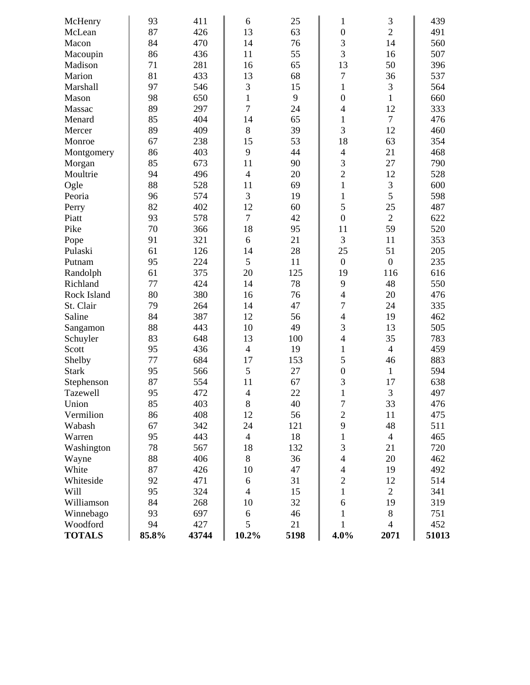| McHenry       | 93    | 411   | 6              | 25   | 1                        | 3                | 439   |
|---------------|-------|-------|----------------|------|--------------------------|------------------|-------|
| McLean        | 87    | 426   | 13             | 63   | $\boldsymbol{0}$         | $\overline{2}$   | 491   |
| Macon         | 84    | 470   | 14             | 76   | 3                        | 14               | 560   |
| Macoupin      | 86    | 436   | 11             | 55   | 3                        | 16               | 507   |
| Madison       | 71    | 281   | 16             | 65   | 13                       | 50               | 396   |
| Marion        | 81    | 433   | 13             | 68   | 7                        | 36               | 537   |
| Marshall      | 97    | 546   | 3              | 15   | $\mathbf{1}$             | 3                | 564   |
| Mason         | 98    | 650   | $\mathbf{1}$   | 9    | $\mathbf{0}$             | $\mathbf{1}$     | 660   |
| Massac        | 89    | 297   | $\overline{7}$ | 24   | $\overline{\mathcal{L}}$ | 12               | 333   |
| Menard        | 85    | 404   | 14             | 65   | $\mathbf{1}$             | $\overline{7}$   | 476   |
| Mercer        | 89    | 409   | 8              | 39   | 3                        | 12               | 460   |
| Monroe        | 67    | 238   | 15             | 53   | 18                       | 63               | 354   |
| Montgomery    | 86    | 403   | 9              | 44   | $\overline{4}$           | 21               | 468   |
| Morgan        | 85    | 673   | 11             | 90   | 3                        | 27               | 790   |
| Moultrie      | 94    | 496   | $\overline{4}$ | 20   | $\overline{2}$           | 12               | 528   |
| Ogle          | 88    | 528   | 11             | 69   | $\mathbf{1}$             | $\mathfrak{Z}$   | 600   |
| Peoria        | 96    | 574   | 3              | 19   | $\mathbf{1}$             | 5                | 598   |
| Perry         | 82    | 402   | 12             | 60   | 5                        | 25               | 487   |
| Piatt         | 93    | 578   | $\overline{7}$ | 42   | $\mathbf{0}$             | $\overline{2}$   | 622   |
| Pike          | 70    | 366   | 18             | 95   | 11                       | 59               | 520   |
| Pope          | 91    | 321   | 6              | 21   | 3                        | 11               | 353   |
| Pulaski       | 61    | 126   | 14             | 28   | 25                       | 51               | 205   |
| Putnam        | 95    | 224   | 5              | 11   | $\boldsymbol{0}$         | $\boldsymbol{0}$ | 235   |
| Randolph      | 61    | 375   | 20             | 125  | 19                       | 116              | 616   |
| Richland      | 77    | 424   | 14             | 78   | 9                        | 48               | 550   |
| Rock Island   | 80    | 380   | 16             | 76   | $\overline{4}$           | 20               | 476   |
| St. Clair     | 79    | 264   | 14             | 47   | $\overline{7}$           | 24               | 335   |
| Saline        | 84    | 387   | 12             | 56   | $\overline{4}$           | 19               | 462   |
| Sangamon      | 88    | 443   | 10             | 49   | 3                        | 13               | 505   |
| Schuyler      | 83    | 648   | 13             | 100  | $\overline{4}$           | 35               | 783   |
| Scott         | 95    | 436   | $\overline{4}$ | 19   | $\mathbf{1}$             | $\overline{4}$   | 459   |
| Shelby        | 77    | 684   | 17             | 153  | 5                        | 46               | 883   |
| <b>Stark</b>  | 95    | 566   | 5              | 27   | $\boldsymbol{0}$         | $\mathbf{1}$     | 594   |
| Stephenson    | 87    | 554   | 11             | 67   | 3                        | 17               | 638   |
| Tazewell      | 95    | 472   | $\overline{4}$ | 22   | $\mathbf{1}$             | 3                | 497   |
| Union         | 85    | 403   | 8              | 40   | 7                        | 33               | 476   |
| Vermilion     | 86    | 408   | 12             | 56   | $\overline{2}$           | 11               | 475   |
| Wabash        | 67    | 342   | 24             | 121  | 9                        | 48               | 511   |
| Warren        | 95    | 443   | $\overline{4}$ | 18   | $\mathbf{1}$             | $\overline{4}$   | 465   |
| Washington    | 78    | 567   | 18             | 132  | 3                        | 21               | 720   |
| Wayne         | 88    | 406   | 8              | 36   | $\overline{4}$           | 20               | 462   |
| White         | 87    | 426   | 10             | 47   | $\overline{4}$           | 19               | 492   |
| Whiteside     | 92    | 471   | 6              | 31   | $\overline{2}$           | 12               | 514   |
| Will          | 95    | 324   | $\overline{4}$ | 15   | $\mathbf{1}$             | $\overline{2}$   | 341   |
| Williamson    | 84    | 268   | 10             | 32   | 6                        | 19               | 319   |
| Winnebago     | 93    | 697   | 6              | 46   | $\mathbf{1}$             | $8\,$            | 751   |
| Woodford      | 94    | 427   | 5              | 21   | 1                        | $\overline{4}$   | 452   |
| <b>TOTALS</b> | 85.8% | 43744 | $10.2\%$       | 5198 | 4.0%                     | 2071             | 51013 |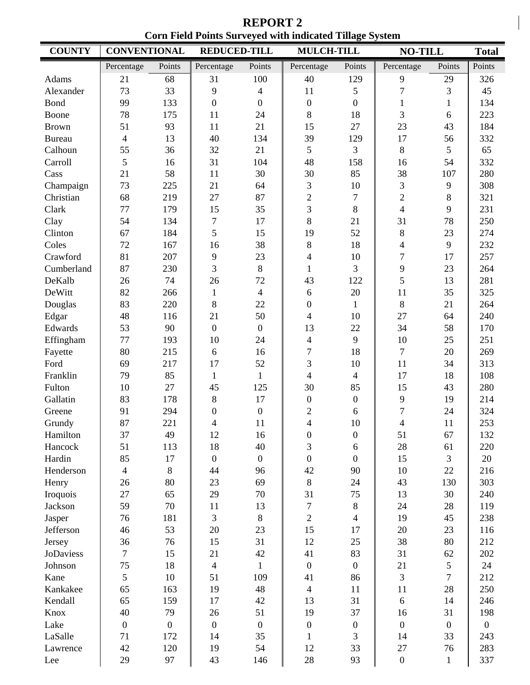**REPORT 2 Corn Field Points Surveyed with indicated Tillage System** 

| <b>COUNTY</b>    | <b>CONVENTIONAL</b> |                  | <b>REDUCED-TILL</b>      |                  | <b>MULCH-TILL</b>        |                  | <b>NO-TILL</b>           |                  | <b>Total</b>   |
|------------------|---------------------|------------------|--------------------------|------------------|--------------------------|------------------|--------------------------|------------------|----------------|
|                  | Percentage          | Points           | Percentage               | Points           | Percentage               | Points           | Percentage               | Points           | Points         |
| Adams            | 21                  | 68               | 31                       | 100              | 40                       | 129              | 9                        | 29               | 326            |
| Alexander        | 73                  | 33               | 9                        | $\overline{4}$   | 11                       | 5                | $\overline{7}$           | 3                | 45             |
| <b>Bond</b>      | 99                  | 133              | $\boldsymbol{0}$         | $\boldsymbol{0}$ | $\boldsymbol{0}$         | $\overline{0}$   | $\mathbf{1}$             | $\mathbf{1}$     | 134            |
| Boone            | 78                  | 175              | 11                       | 24               | 8                        | 18               | 3                        | 6                | 223            |
| <b>Brown</b>     | 51                  | 93               | 11                       | 21               | 15                       | 27               | 23                       | 43               | 184            |
| <b>Bureau</b>    | $\overline{4}$      | 13               | 40                       | 134              | 39                       | 129              | 17                       | 56               | 332            |
| Calhoun          | 55                  | 36               | 32                       | 21               | 5                        | 3                | 8                        | 5                | 65             |
| Carroll          | 5                   | 16               | 31                       | 104              | 48                       | 158              | 16                       | 54               | 332            |
| Cass             | 21                  | 58               | 11                       | 30               | 30                       | 85               | 38                       | 107              | 280            |
| Champaign        | 73                  | 225              | 21                       | 64               | 3                        | 10               | 3                        | 9                | 308            |
| Christian        | 68                  | 219              | 27                       | 87               | $\overline{2}$           | $\overline{7}$   | $\overline{2}$           | 8                | 321            |
| Clark            | 77                  | 179              | 15                       | 35               | 3                        | $\,8\,$          | $\overline{4}$           | 9                | 231            |
| Clay             | 54                  | 134              | $\boldsymbol{7}$         | 17               | 8                        | 21               | 31                       | 78               | 250            |
| Clinton          | 67                  | 184              | 5                        | 15               | 19                       | 52               | $8\,$                    | 23               | 274            |
| Coles            | 72                  | 167              | 16                       | 38               | 8                        | 18               | $\overline{\mathcal{A}}$ | 9                | 232            |
| Crawford         | 81                  | 207              | 9                        | 23               | $\overline{\mathcal{L}}$ | 10               | $\boldsymbol{7}$         | 17               | 257            |
| Cumberland       | 87                  | 230              | $\overline{3}$           | 8                | $\mathbf{1}$             | 3                | 9                        | 23               | 264            |
| DeKalb           | 26                  | 74               | 26                       | 72               | 43                       | 122              | 5                        | 13               | 281            |
| DeWitt           | 82                  | 266              | $\,1$                    | $\overline{4}$   | 6                        | 20               | 11                       | 35               | 325            |
| Douglas          | 83                  | 220              | 8                        | 22               | $\boldsymbol{0}$         | $\mathbf{1}$     | 8                        | 21               | 264            |
| Edgar            | 48                  | 116              | 21                       | 50               | 4                        | 10               | 27                       | 64               | 240            |
| Edwards          | 53                  | 90               | $\boldsymbol{0}$         | $\boldsymbol{0}$ | 13                       | 22               | 34                       | 58               | 170            |
| Effingham        | 77                  | 193              | 10                       | 24               | $\overline{4}$           | 9                | 10                       | 25               | 251            |
| Fayette          | 80                  | 215              | 6                        | 16               | $\overline{7}$           | 18               | $\boldsymbol{7}$         | 20               | 269            |
| Ford             | 69                  | 217              | 17                       | 52               | 3                        | 10               | 11                       | 34               | 313            |
| Franklin         | 79                  | 85               | $\mathbf{1}$             | $\mathbf{1}$     | $\overline{\mathcal{L}}$ | $\overline{4}$   | 17                       | 18               | 108            |
| Fulton           | 10                  | 27               | 45                       | 125              | 30                       | 85               | 15                       | 43               | 280            |
| Gallatin         | 83                  | 178              | $8\,$                    | 17               | $\overline{0}$           | $\boldsymbol{0}$ | 9                        | 19               | 214            |
| Greene           | 91                  | 294              | $\boldsymbol{0}$         | $\overline{0}$   | $\boldsymbol{2}$         | 6                | $\overline{7}$           | 24               | 324            |
| Grundy           | 87                  | 221              | $\overline{\mathcal{L}}$ | 11               | 4                        | 10               | $\overline{\mathcal{A}}$ | 11               | 253            |
| Hamilton         | 37                  | 49               | 12                       | 16               | $\boldsymbol{0}$         | $\theta$         | 51                       | 67               | 132            |
| Hancock          | 51                  | 113              | 18                       | 40               | 3                        | 6                | 28                       | 61               | 220            |
| Hardin           | 85                  | 17               | $\boldsymbol{0}$         | $\boldsymbol{0}$ | $\mathbf{0}$             | $\boldsymbol{0}$ | 15                       | 3                | 20             |
| Henderson        | $\overline{4}$      | 8                | 44                       | 96               | 42                       | 90               | 10                       | 22               | 216            |
| Henry            | 26                  | 80               | 23                       | 69               | 8                        | 24               | 43                       | 130              | 303            |
| Iroquois         | 27                  | 65               | 29                       | 70               | 31                       | 75               | 13                       | 30               | 240            |
| Jackson          | 59                  | 70               | 11                       | 13               | $\tau$                   | $8\,$            | 24                       | 28               | 119            |
| Jasper           | 76                  | 181              | 3                        | $8\,$            | $\overline{2}$           | $\overline{4}$   | 19                       | 45               | 238            |
| Jefferson        | 46                  | 53               | 20                       | 23               | 15                       | 17               | 20                       | 23               | 116            |
| Jersey           | 36                  | 76               | 15                       | 31               | 12                       | 25               | 38                       | 80               | 212            |
| <b>JoDaviess</b> | $\overline{7}$      | 15               | 21                       | 42               | 41                       | 83               | 31                       | 62               | 202            |
| Johnson          | 75                  | 18               | $\overline{4}$           | 1                | $\overline{0}$           | $\overline{0}$   | 21                       | 5                | 24             |
| Kane             | 5                   | 10               | 51                       | 109              | 41                       | 86               | 3                        | $\overline{7}$   | 212            |
| Kankakee         | 65                  | 163              | 19                       | 48               | $\overline{4}$           | 11               | 11                       | 28               | 250            |
| Kendall          | 65                  | 159              | 17                       | 42               | 13                       | 31               | 6                        | 14               | 246            |
| Knox             | 40                  | 79               | 26                       | 51               | 19                       | 37               | 16                       | 31               | 198            |
| Lake             | $\boldsymbol{0}$    | $\boldsymbol{0}$ | $\boldsymbol{0}$         | $\boldsymbol{0}$ | $\boldsymbol{0}$         | $\boldsymbol{0}$ | $\boldsymbol{0}$         | $\boldsymbol{0}$ | $\overline{0}$ |
| LaSalle          | 71                  | 172              | 14                       | 35               | $\mathbf{1}$             | 3                | 14                       | 33               | 243            |
| Lawrence         | 42                  | 120              | 19                       | 54               | 12                       | 33               | 27                       | 76               | 283            |
| Lee              | 29                  | 97               | 43                       | 146              | 28                       | 93               | $\boldsymbol{0}$         | $\mathbf{1}$     | 337            |
|                  |                     |                  |                          |                  |                          |                  |                          |                  |                |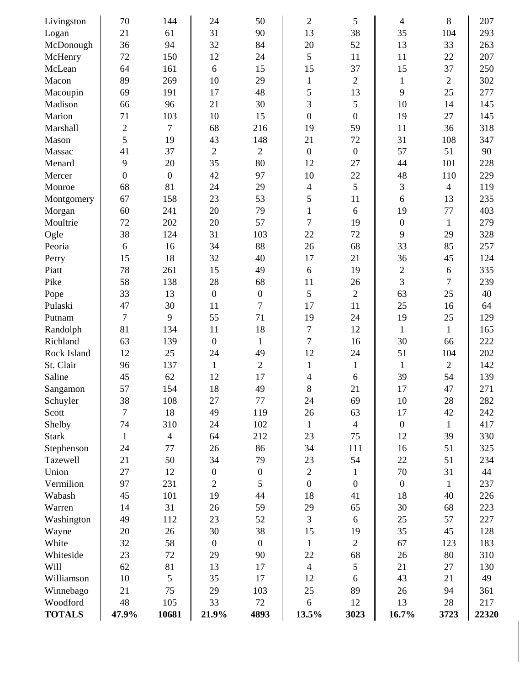| Livingston    | 70               | 144              | 24               | 50               | $\overline{2}$   | 5                | 4                | 8              | 207   |
|---------------|------------------|------------------|------------------|------------------|------------------|------------------|------------------|----------------|-------|
| Logan         | 21               | 61               | 31               | 90               | 13               | 38               | 35               | 104            | 293   |
| McDonough     | 36               | 94               | 32               | 84               | 20               | 52               | 13               | 33             | 263   |
| McHenry       | 72               | 150              | 12               | 24               | 5                | 11               | 11               | 22             | 207   |
| McLean        | 64               | 161              | 6                | 15               | 15               | 37               | 15               | 37             | 250   |
| Macon         | 89               | 269              | 10               | 29               | $\mathbf{1}$     | $\overline{2}$   | $\mathbf{1}$     | $\overline{2}$ | 302   |
| Macoupin      | 69               | 191              | 17               | 48               | 5                | 13               | 9                | 25             | 277   |
| Madison       | 66               | 96               | 21               | 30               | 3                | 5                | 10               | 14             | 145   |
| Marion        | 71               | 103              | 10               | 15               | $\overline{0}$   | $\overline{0}$   | 19               | 27             | 145   |
| Marshall      | $\overline{2}$   | $\overline{7}$   | 68               | 216              | 19               | 59               | 11               | 36             | 318   |
| Mason         | 5                | 19               | 43               | 148              | 21               | 72               | 31               | 108            | 347   |
| Massac        | 41               | 37               | $\overline{2}$   | $\overline{2}$   | $\boldsymbol{0}$ | $\boldsymbol{0}$ | 57               | 51             | 90    |
| Menard        | 9                | 20               | 35               | 80               | 12               | 27               | 44               | 101            | 228   |
| Mercer        | $\boldsymbol{0}$ | $\boldsymbol{0}$ | 42               | 97               | 10               | 22               | 48               | 110            | 229   |
| Monroe        | 68               | 81               | 24               | 29               | $\overline{4}$   | 5                | 3                | $\overline{4}$ | 119   |
| Montgomery    | 67               | 158              | 23               | 53               | 5                | 11               | 6                | 13             | 235   |
| Morgan        | 60               | 241              | 20               | 79               | $\mathbf{1}$     | 6                | 19               | 77             | 403   |
| Moultrie      | 72               | 202              | 20               | 57               | $\overline{7}$   | 19               | $\boldsymbol{0}$ | $\mathbf{1}$   | 279   |
| Ogle          | 38               | 124              | 31               | 103              | 22               | 72               | 9                | 29             | 328   |
| Peoria        | 6                | 16               | 34               | 88               | 26               | 68               | 33               | 85             | 257   |
| Perry         | 15               | 18               | 32               | 40               | 17               | 21               | 36               | 45             | 124   |
| Piatt         | 78               | 261              | 15               | 49               | 6                | 19               | $\overline{c}$   | 6              | 335   |
| Pike          | 58               | 138              | 28               | 68               | 11               | 26               | 3                | 7              | 239   |
| Pope          | 33               | 13               | $\boldsymbol{0}$ | $\boldsymbol{0}$ | 5                | $\overline{2}$   | 63               | 25             | 40    |
| Pulaski       | 47               | 30               | 11               | $\overline{7}$   | 17               | 11               | 25               | 16             | 64    |
| Putnam        | $\overline{7}$   | 9                | 55               | 71               | 19               | 24               | 19               | 25             | 129   |
| Randolph      | 81               | 134              | 11               | 18               | $\tau$           | 12               | $\mathbf{1}$     | $\mathbf{1}$   | 165   |
| Richland      | 63               | 139              | $\boldsymbol{0}$ | $\mathbf{1}$     | 7                | 16               | 30               | 66             | 222   |
| Rock Island   | 12               | 25               | 24               | 49               | 12               | 24               | 51               | 104            | 202   |
| St. Clair     | 96               | 137              | $\mathbf{1}$     | $\overline{2}$   | $\mathbf{1}$     | $\mathbf{1}$     | $\mathbf{1}$     | $\overline{2}$ | 142   |
| Saline        | 45               | 62               | 12               | 17               | 4                | 6                | 39               | 54             | 139   |
| Sangamon      | 57               | 154              | 18               | 49               | 8                | 21               | 17               | 47             | 271   |
| Schuyler      | 38               | 108              | 27               | 77               | 24               | 69               | 10               | 28             | 282   |
| Scott         | $\overline{7}$   | 18               | 49               | 119              | 26               | 63               | 17               | 42             | 242   |
| Shelby        | 74               | 310              | 24               | 102              | $\mathbf{1}$     | $\overline{4}$   | $\boldsymbol{0}$ | $\mathbf{1}$   | 417   |
| <b>Stark</b>  | $\mathbf{1}$     | $\overline{4}$   | 64               | 212              | 23               | 75               | 12               | 39             | 330   |
| Stephenson    | 24               | 77               | 26               | 86               | 34               | 111              | 16               | 51             | 325   |
| Tazewell      | 21               | 50               | 34               | 79               | 23               | 54               | 22               | 51             | 234   |
| Union         | 27               | 12               | $\boldsymbol{0}$ | $\boldsymbol{0}$ | $\sqrt{2}$       | $\mathbf{1}$     | 70               | 31             | 44    |
| Vermilion     | 97               | 231              | $\overline{c}$   | 5                | $\boldsymbol{0}$ | $\boldsymbol{0}$ | $\overline{0}$   | $\mathbf{1}$   | 237   |
| Wabash        | 45               | 101              | 19               | 44               | 18               | 41               | 18               | 40             | 226   |
| Warren        | 14               | 31               | 26               | 59               | 29               | 65               | 30               | 68             | 223   |
| Washington    | 49               | 112              | 23               | 52               | 3                | 6                | 25               | 57             | 227   |
| Wayne         | 20               | 26               | 30               | 38               | 15               | 19               | 35               | 45             | 128   |
| White         | 32               | 58               | $\boldsymbol{0}$ | $\boldsymbol{0}$ | $\mathbf{1}$     | $\overline{2}$   | 67               | 123            | 183   |
| Whiteside     | 23               | 72               | 29               | 90               | 22               | 68               | 26               | 80             | 310   |
| Will          | 62               | 81               | 13               | 17               | $\overline{4}$   | 5                | 21               | 27             | 130   |
| Williamson    | 10               | 5                | 35               | 17               | 12               | 6                | 43               | 21             | 49    |
| Winnebago     | 21               | 75               | 29               | 103              | 25               | 89               | 26               | 94             | 361   |
| Woodford      | 48               | 105              | 33               | 72               | 6                | 12               | 13               | 28             | 217   |
| <b>TOTALS</b> | 47.9%            | 10681            | 21.9%            | 4893             | 13.5%            | 3023             | 16.7%            | 3723           | 22320 |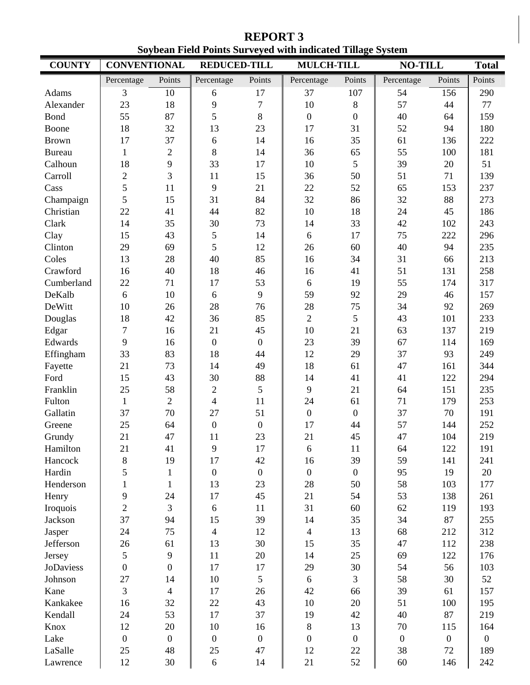**REPORT 3 Soybean Field Points Surveyed with indicated Tillage System** 

| <b>COUNTY</b> | <b>CONVENTIONAL</b> |                  | <b>REDUCED-TILL</b> |                  | boyotan Fitiu I omis bui vtytu with muitattu Tinage bysitin<br><b>MULCH-TILL</b> |                  |                  | <b>NO-TILL</b>   |                        |
|---------------|---------------------|------------------|---------------------|------------------|----------------------------------------------------------------------------------|------------------|------------------|------------------|------------------------|
|               |                     |                  |                     |                  |                                                                                  | Points           |                  | Points           | <b>Total</b><br>Points |
|               | Percentage          | Points           | Percentage          | Points           | Percentage                                                                       |                  | Percentage       |                  |                        |
| Adams         | 3                   | 10               | 6                   | 17               | 37                                                                               | 107              | 54               | 156              | 290                    |
| Alexander     | 23                  | 18               | 9                   | $\overline{7}$   | 10                                                                               | 8                | 57               | 44               | 77                     |
| <b>Bond</b>   | 55                  | 87               | 5                   | $8\,$            | $\mathbf{0}$                                                                     | $\overline{0}$   | 40               | 64               | 159                    |
| Boone         | 18                  | 32               | 13                  | 23               | 17                                                                               | 31               | 52               | 94               | 180                    |
| <b>Brown</b>  | 17                  | 37               | 6                   | 14               | 16                                                                               | 35               | 61               | 136              | 222                    |
| <b>Bureau</b> | $\mathbf{1}$        | $\overline{2}$   | 8                   | 14               | 36                                                                               | 65               | 55               | 100              | 181                    |
| Calhoun       | 18                  | 9                | 33                  | 17               | 10                                                                               | 5                | 39               | 20               | 51                     |
| Carroll       | $\mathfrak{2}$      | $\overline{3}$   | 11                  | 15               | 36                                                                               | 50               | 51               | 71               | 139                    |
| Cass          | 5                   | 11               | 9                   | 21               | 22                                                                               | 52               | 65               | 153              | 237                    |
| Champaign     | 5                   | 15               | 31                  | 84               | 32                                                                               | 86               | 32               | 88               | 273                    |
| Christian     | 22                  | 41               | 44                  | 82               | 10                                                                               | 18               | 24               | 45               | 186                    |
| Clark         | 14                  | 35               | 30                  | 73               | 14                                                                               | 33               | 42               | 102              | 243                    |
| Clay          | 15                  | 43               | 5                   | 14               | 6                                                                                | 17               | 75               | 222              | 296                    |
| Clinton       | 29                  | 69               | 5                   | 12               | 26                                                                               | 60               | 40               | 94               | 235                    |
| Coles         | 13                  | 28               | 40                  | 85               | 16                                                                               | 34               | 31               | 66               | 213                    |
| Crawford      | 16                  | 40               | 18                  | 46               | 16                                                                               | 41               | 51               | 131              | 258                    |
| Cumberland    | 22                  | 71               | 17                  | 53               | 6                                                                                | 19               | 55               | 174              | 317                    |
| DeKalb        | 6                   | 10               | 6                   | 9                | 59                                                                               | 92               | 29               | 46               | 157                    |
| DeWitt        | 10                  | 26               | 28                  | 76               | 28                                                                               | 75               | 34               | 92               | 269                    |
| Douglas       | 18                  | 42               | 36                  | 85               | $\overline{2}$                                                                   | 5                | 43               | 101              | 233                    |
| Edgar         | $\overline{7}$      | 16               | 21                  | 45               | 10                                                                               | 21               | 63               | 137              | 219                    |
| Edwards       | 9                   | 16               | $\boldsymbol{0}$    | $\boldsymbol{0}$ | 23                                                                               | 39               | 67               | 114              | 169                    |
| Effingham     | 33                  | 83               | 18                  | 44               | 12                                                                               | 29               | 37               | 93               | 249                    |
| Fayette       | 21                  | 73               | 14                  | 49               | 18                                                                               | 61               | 47               | 161              | 344                    |
| Ford          | 15                  | 43               | 30                  | 88               | 14                                                                               | 41               | 41               | 122              | 294                    |
| Franklin      | 25                  | 58               | $\overline{2}$      | 5                | 9                                                                                | 21               | 64               | 151              | 235                    |
| Fulton        | $\mathbf{1}$        | $\overline{2}$   | $\overline{4}$      | 11               | 24                                                                               | 61               | 71               | 179              | 253                    |
| Gallatin      | 37                  | 70               | 27                  | 51               | $\mathbf{0}$                                                                     | $\boldsymbol{0}$ | 37               | 70               | 191                    |
| Greene        | 25                  | 64               | $\boldsymbol{0}$    | $\boldsymbol{0}$ | 17                                                                               | 44               | 57               | 144              | 252                    |
| Grundy        | 21                  | 47               | 11                  | 23               | 21                                                                               | 45               | 47               | 104              | 219                    |
| Hamilton      | 21                  | 41               | 9                   | 17               | 6                                                                                | 11               | 64               | 122              | 191                    |
| Hancock       | $8\,$               | 19               | 17                  | 42               | 16                                                                               | 39               | 59               | 141              | 241                    |
| Hardin        | 5                   | $\mathbf{1}$     | $\boldsymbol{0}$    | $\overline{0}$   | $\boldsymbol{0}$                                                                 | $\boldsymbol{0}$ | 95               | 19               | 20                     |
| Henderson     | $\mathbf{1}$        | $\mathbf{1}$     | 13                  | 23               | 28                                                                               | 50               | 58               | 103              | 177                    |
| Henry         | 9                   | 24               | 17                  | 45               | 21                                                                               | 54               | 53               | 138              | 261                    |
| Iroquois      | $\overline{2}$      | $\overline{3}$   | $\sqrt{6}$          | 11               | 31                                                                               | 60               | 62               | 119              | 193                    |
| Jackson       | 37                  | 94               | 15                  | 39               | 14                                                                               | 35               | 34               | 87               | 255                    |
| Jasper        | 24                  | 75               | $\overline{4}$      | 12               | $\overline{4}$                                                                   | 13               | 68               | 212              | 312                    |
| Jefferson     | 26                  | 61               | 13                  | 30               | 15                                                                               | 35               | 47               | 112              | 238                    |
| Jersey        | 5                   | 9                | 11                  | 20               | 14                                                                               | 25               | 69               | 122              | 176                    |
| JoDaviess     | $\boldsymbol{0}$    | $\boldsymbol{0}$ | 17                  | 17               | 29                                                                               | 30               | 54               | 56               | 103                    |
|               |                     |                  | 10                  | 5                | 6                                                                                | $\overline{3}$   | 58               | 30               |                        |
| Johnson       | 27                  | 14               |                     |                  |                                                                                  |                  |                  |                  | 52                     |
| Kane          | 3                   | $\overline{4}$   | 17                  | 26               | 42                                                                               | 66               | 39               | 61               | 157                    |
| Kankakee      | 16                  | 32               | 22                  | 43               | 10                                                                               | 20               | 51               | 100              | 195                    |
| Kendall       | 24                  | 53               | 17                  | 37               | 19                                                                               | 42               | 40               | 87               | 219                    |
| Knox          | 12                  | 20               | 10                  | 16               | $8\,$                                                                            | 13               | $70\,$           | 115              | 164                    |
| Lake          | $\boldsymbol{0}$    | $\mathbf{0}$     | $\boldsymbol{0}$    | $\overline{0}$   | $\boldsymbol{0}$                                                                 | $\boldsymbol{0}$ | $\boldsymbol{0}$ | $\boldsymbol{0}$ | $\boldsymbol{0}$       |
| LaSalle       | 25                  | 48               | 25                  | 47               | 12                                                                               | 22               | 38               | 72               | 189                    |
| Lawrence      | 12                  | 30               | 6                   | 14               | 21                                                                               | 52               | 60               | 146              | 242                    |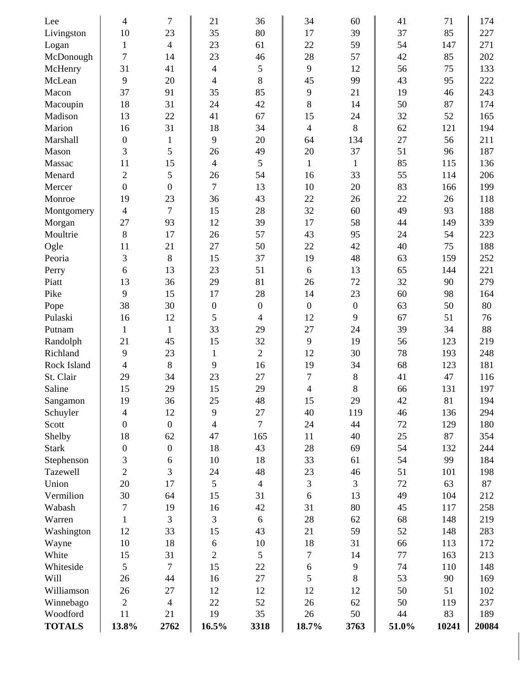| Lee           | $\overline{4}$           | 7                | 21                       | 36               | 34               | 60               | 41    | 71    | 174   |
|---------------|--------------------------|------------------|--------------------------|------------------|------------------|------------------|-------|-------|-------|
| Livingston    | 10                       | 23               | 35                       | 80               | 17               | 39               | 37    | 85    | 227   |
| Logan         | $\mathbf{1}$             | 4                | 23                       | 61               | 22               | 59               | 54    | 147   | 271   |
| McDonough     | $\tau$                   | 14               | 23                       | 46               | 28               | 57               | 42    | 85    | 202   |
| McHenry       | 31                       | 41               | $\overline{\mathcal{A}}$ | 5                | 9                | 12               | 56    | 75    | 133   |
| McLean        | 9                        | 20               | 4                        | 8                | 45               | 99               | 43    | 95    | 222   |
| Macon         | 37                       | 91               | 35                       | 85               | 9                | 21               | 19    | 46    | 243   |
| Macoupin      | 18                       | 31               | 24                       | 42               | 8                | 14               | 50    | 87    | 174   |
| Madison       | 13                       | 22               | 41                       | 67               | 15               | 24               | 32    | 52    | 165   |
| Marion        | 16                       | 31               | 18                       | 34               | $\overline{4}$   | 8                | 62    | 121   | 194   |
| Marshall      | $\boldsymbol{0}$         | $\mathbf{1}$     | 9                        | 20               | 64               | 134              | 27    | 56    | 211   |
| Mason         | 3                        | 5                | 26                       | 49               | 20               | 37               | 51    | 96    | 187   |
| Massac        | 11                       | 15               | 4                        | 5                | $\mathbf{1}$     | $\mathbf{1}$     | 85    | 115   | 136   |
| Menard        | $\overline{2}$           | 5                | 26                       | 54               | 16               | 33               | 55    | 114   | 206   |
| Mercer        | $\overline{0}$           | $\boldsymbol{0}$ | $\tau$                   | 13               | 10               | 20               | 83    | 166   | 199   |
| Monroe        | 19                       | 23               | 36                       | 43               | 22               | 26               | 22    | 26    | 118   |
| Montgomery    | $\overline{4}$           | 7                | 15                       | 28               | 32               | 60               | 49    | 93    | 188   |
| Morgan        | 27                       | 93               | 12                       | 39               | 17               | 58               | 44    | 149   | 339   |
| Moultrie      | $8\,$                    | 17               | 26                       | 57               | 43               | 95               | 24    | 54    | 223   |
| Ogle          | 11                       | 21               | 27                       | 50               | 22               | 42               | 40    | 75    | 188   |
| Peoria        | 3                        | $8\,$            | 15                       | 37               | 19               | 48               | 63    | 159   | 252   |
| Perry         | 6                        | 13               | 23                       | 51               | 6                | 13               | 65    | 144   | 221   |
| Piatt         | 13                       | 36               | 29                       | 81               | 26               | 72               | 32    | 90    | 279   |
| Pike          | 9                        | 15               | 17                       | 28               | 14               | 23               | 60    | 98    | 164   |
| Pope          | 38                       | 30               | $\boldsymbol{0}$         | $\boldsymbol{0}$ | $\boldsymbol{0}$ | $\boldsymbol{0}$ | 63    | 50    | 80    |
| Pulaski       | 16                       | 12               | 5                        | $\overline{4}$   | 12               | 9                | 67    | 51    | 76    |
| Putnam        | $\mathbf{1}$             | $\mathbf{1}$     | 33                       | 29               | 27               | 24               | 39    | 34    | 88    |
| Randolph      | 21                       | 45               | 15                       | 32               | 9                | 19               | 56    | 123   | 219   |
| Richland      | 9                        | 23               | $\mathbf{1}$             | $\overline{2}$   | 12               | 30               | 78    | 193   | 248   |
| Rock Island   | $\overline{\mathcal{L}}$ | $8\,$            | 9                        | 16               | 19               | 34               | 68    | 123   | 181   |
| St. Clair     | 29                       | 34               | 23                       | 27               | $\overline{7}$   | $8\,$            | 41    | 47    | 116   |
| Saline        | 15                       | 29               | 15                       | 29               | 4                | 8                | 66    | 131   | 197   |
| Sangamon      | 19                       | 36               | 25                       | 48               | 15               | 29               | 42    | 81    | 194   |
| Schuyler      | 4                        | 12               | 9                        | 27               | 40               | 119              | 46    | 136   | 294   |
| Scott         | $\boldsymbol{0}$         | $\boldsymbol{0}$ | 4                        | $\tau$           | 24               | 44               | 72    | 129   | 180   |
| Shelby        | 18                       | 62               | 47                       | 165              | 11               | 40               | 25    | 87    | 354   |
| <b>Stark</b>  | $\boldsymbol{0}$         | $\boldsymbol{0}$ | 18                       | 43               | 28               | 69               | 54    | 132   | 244   |
| Stephenson    | 3                        | 6                | 10                       | 18               | 33               | 61               | 54    | 99    | 184   |
| Tazewell      | $\overline{2}$           | 3                | 24                       | 48               | 23               | 46               | 51    | 101   | 198   |
| Union         | 20                       | 17               | 5                        | $\overline{4}$   | 3                | $\overline{3}$   | 72    | 63    | 87    |
| Vermilion     | 30                       | 64               | 15                       | 31               | 6                | 13               | 49    | 104   | 212   |
| Wabash        | 7                        | 19               | 16                       | 42               | 31               | 80               | 45    | 117   | 258   |
| Warren        | $\mathbf{1}$             | 3                | 3                        | 6                | 28               | 62               | 68    | 148   | 219   |
| Washington    | 12                       | 33               | 15                       | 43               | 21               | 59               | 52    | 148   | 283   |
| Wayne         | 10                       | 18               | $\sqrt{6}$               | 10               | 18               | 31               | 66    | 113   | 172   |
| White         | 15                       | 31               | $\overline{c}$           | 5                | $\tau$           | 14               | 77    | 163   | 213   |
| Whiteside     | 5                        | $\tau$           | 15                       | 22               | 6                | 9                | 74    | 110   | 148   |
| Will          | 26                       | 44               | 16                       | 27               | 5                | 8                | 53    | 90    | 169   |
| Williamson    | 26                       | 27               | 12                       | 12               | 12               | 12               | 50    | 51    | 102   |
| Winnebago     | $\sqrt{2}$               | $\overline{4}$   | 22                       | 52               | 26               | 62               | 50    | 119   | 237   |
| Woodford      | 11                       | 21               | 19                       | 35               | 26               | 50               | 44    | 83    | 189   |
| <b>TOTALS</b> | 13.8%                    | 2762             | 16.5%                    | 3318             | 18.7%            | 3763             | 51.0% | 10241 | 20084 |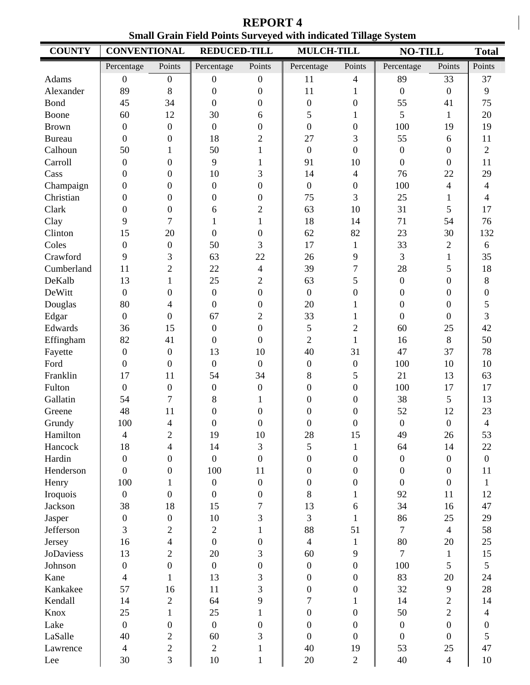**COUNTY CONVENTIONAL REDUCED-TILL MULCH-TILL NO-TILL Total** Percentage Points Percentage Points Percentage Points Percentage Points Points Adams | 0 0 0 0 0 11 4 89 33 37 Alexander | 89 8 | 0 0 | 11 1 | 0 0 | 9 Bond | 45 34 | 0 0 | 0 0 | 55 41 | 75 Boone 60 12 30 6 5 1 5 1 20 Brown | 0 0 0 0 0 0 0 0 100 19 19 Bureau | 0 0 18 2 | 27 3 | 55 6 11 Calhoun 50 1 50 1 0 0 0 0 2 Carroll  $\begin{array}{ccccccc} \vert & 0 & 0 & \vert & 9 & 1 & \vert & 91 & 10 & \vert & 0 & 0 & \vert & 11 \end{array}$ Cass | 0 0 10 3 | 14 4 | 76 22 | 29 Champaign 0 0 0 0 0 0 0 0 100 4 4 Christian 0 0 0 0 0 75 3 25 1 4 Clark 0 0 6 2 63 10 31 5 17 Clay 9 7 1 1 1 18 14 71 54 76 Clinton | 15 20 0 0 0 62 82 23 30 132 Coles 0 0 50 3 17 1 33 2 6 Crawford 9 3 63 22 26 9 3 1 35 Cumberland 11 2 22 4 39 7 28 5 18 DeKalb | 13 1 | 25 2 || 63 5 || 0 0 || 8 DeWitt 0 0 0 0 0 0 0 0 0 Douglas | 80 4 | 0 0 | 20 1 | 0 0 | 5 Edgar 0 0 67 2 33 1 0 0 3 Edwards | 36 15 | 0 0 | 5 2 | 60 25 | 42 Effingham 82 41 0 0 2 1 16 8 50 Fayette | 0 0 | 13 10 | 40 31 | 47 37 | 78 Ford  $\begin{array}{cccccccc} 0 & 0 & 0 & 0 & 0 & 0 & 0 & 100 & 10 & 10 \end{array}$ Franklin | 17 11 | 54 34 | 8 5 | 21 13 | 63 Fulton | 0 0 | 0 0 | 0 0 0 | 100 17 | 17 Gallatin | 54 7 | 8 1 | 0 0 | 38 5 | 13 Greene | 48 11 | 0 0 | 0 0 | 52 12 | 23 Grundy | 100 4 | 0 0 | 0 0 | 0 0 | 4 Hamilton | 4 2 | 19 10 | 28 15 | 49 26 | 53 Hancock 18 4 14 3 5 1 64 14 22 Hardin 0 0 0 0 0 0 0 0 0 Henderson 0 0 100 11 0 0 0 0 11 Henry  $100$  1 0 0 0 0 0 0 0 0 1 Iroquois | 0 0 0 0 0 | 8 1 | 92 11 | 12 Jackson | 38 18 | 15 7 | 13 6 | 34 16 | 47 Jasper | 0 0 10 3 | 3 1 | 86 25 | 29 Jefferson | 3 2 | 2 1 | 88 51 | 7 4 | 58 Jersey | 16 4 | 0 0 | 4 1 | 80 20 | 25 JoDaviess 13 2 20 3 60 9 7 1 15 Johnson 0 0 0 0 0 0 0 0 100 5 5 Kane | 4 1 | 13 3 | 0 0 | 83 20 | 24 Kankakee 57 16 11 3 0 0 32 9 28 Kendall | 14 2 | 64 9 | 7 1 | 14 2 | 14 Knox | 25 1 | 25 1 | 0 0 | 50 2 | 4 Lake 0 0 0 0 0 0 0 0 0 LaSalle | 40 2 | 60 3 || 0 0 || 0 0 || 5 Lawrence 4 2 2 2 1 40 19 53 25 47 Lee | 30 3 | 10 1 | 20 2 | 40 4 | 10

**REPORT 4 Small Grain Field Points Surveyed with indicated Tillage System**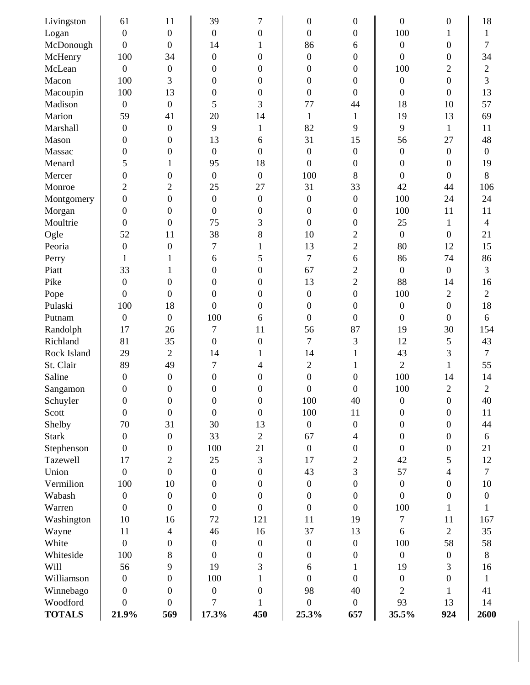| Livingston    | 61               | 11               | 39               | 7                | $\boldsymbol{0}$ | $\boldsymbol{0}$ | $\boldsymbol{0}$ | $\boldsymbol{0}$ | 18             |
|---------------|------------------|------------------|------------------|------------------|------------------|------------------|------------------|------------------|----------------|
| Logan         | $\overline{0}$   | $\overline{0}$   | $\overline{0}$   | $\boldsymbol{0}$ | $\boldsymbol{0}$ | $\boldsymbol{0}$ | 100              | 1                | $\mathbf 1$    |
| McDonough     | $\mathbf{0}$     | $\boldsymbol{0}$ | 14               | 1                | 86               | 6                | $\boldsymbol{0}$ | 0                | 7              |
| McHenry       | 100              | 34               | $\boldsymbol{0}$ | 0                | $\boldsymbol{0}$ | $\boldsymbol{0}$ | $\boldsymbol{0}$ | $\Omega$         | 34             |
| McLean        | $\overline{0}$   | $\boldsymbol{0}$ | $\boldsymbol{0}$ | 0                | $\boldsymbol{0}$ | $\boldsymbol{0}$ | 100              | 2                | 2              |
| Macon         | 100              | 3                | $\boldsymbol{0}$ | 0                | $\boldsymbol{0}$ | $\boldsymbol{0}$ | $\boldsymbol{0}$ | $\boldsymbol{0}$ | 3              |
| Macoupin      | 100              | 13               | $\boldsymbol{0}$ | 0                | $\overline{0}$   | $\boldsymbol{0}$ | $\boldsymbol{0}$ | 0                | 13             |
| Madison       | $\overline{0}$   | $\boldsymbol{0}$ | 5                | 3                | 77               | 44               | 18               | 10               | 57             |
| Marion        | 59               | 41               | 20               | 14               | 1                | $\mathbf{1}$     | 19               | 13               | 69             |
| Marshall      | $\overline{0}$   | $\boldsymbol{0}$ | 9                | 1                | 82               | 9                | 9                | $\mathbf 1$      | 11             |
| Mason         | $\overline{0}$   | $\mathbf{0}$     | 13               | 6                | 31               | 15               | 56               | 27               | 48             |
| Massac        | 0                | 0                | $\boldsymbol{0}$ | $\overline{0}$   | $\boldsymbol{0}$ | $\boldsymbol{0}$ | $\boldsymbol{0}$ | $\boldsymbol{0}$ | $\mathbf{0}$   |
| Menard        | 5                | 1                | 95               | 18               | $\boldsymbol{0}$ | $\boldsymbol{0}$ | $\overline{0}$   | 0                | 19             |
| Mercer        | $\theta$         | $\mathbf{0}$     | $\boldsymbol{0}$ | $\mathbf{0}$     | 100              | 8                | $\boldsymbol{0}$ | $\theta$         | 8              |
| Monroe        | 2                | $\mathfrak{2}$   | 25               | 27               | 31               | 33               | 42               | 44               | 106            |
| Montgomery    | $\overline{0}$   | $\mathbf{0}$     | $\boldsymbol{0}$ | $\boldsymbol{0}$ | $\boldsymbol{0}$ | $\boldsymbol{0}$ | 100              | 24               | 24             |
| Morgan        | $\boldsymbol{0}$ | $\boldsymbol{0}$ | $\boldsymbol{0}$ | 0                | $\boldsymbol{0}$ | $\boldsymbol{0}$ | 100              | 11               | 11             |
| Moultrie      | $\overline{0}$   | $\mathbf{0}$     | 75               | 3                | $\boldsymbol{0}$ | $\boldsymbol{0}$ | 25               | 1                | $\overline{4}$ |
| Ogle          | 52               | 11               | 38               | 8                | 10               | $\overline{c}$   | $\overline{0}$   | $\boldsymbol{0}$ | 21             |
| Peoria        | $\overline{0}$   | $\boldsymbol{0}$ | $\overline{7}$   | 1                | 13               | $\overline{2}$   | 80               | 12               | 15             |
| Perry         | $\mathbf 1$      | 1                | 6                | 5                | 7                | 6                | 86               | 74               | 86             |
| Piatt         | 33               | 1                | $\boldsymbol{0}$ | $\overline{0}$   | 67               | $\overline{2}$   | $\boldsymbol{0}$ | $\boldsymbol{0}$ | 3              |
| Pike          | $\boldsymbol{0}$ | $\mathbf{0}$     | $\boldsymbol{0}$ | 0                | 13               | $\overline{2}$   | 88               | 14               | 16             |
| Pope          | $\boldsymbol{0}$ | $\boldsymbol{0}$ | $\boldsymbol{0}$ | 0                | $\boldsymbol{0}$ | $\boldsymbol{0}$ | 100              | $\overline{2}$   | $\overline{2}$ |
| Pulaski       | 100              | 18               | $\boldsymbol{0}$ | 0                | $\boldsymbol{0}$ | $\boldsymbol{0}$ | $\boldsymbol{0}$ | $\boldsymbol{0}$ | 18             |
| Putnam        | $\mathbf{0}$     | $\boldsymbol{0}$ | 100              | 6                | $\boldsymbol{0}$ | $\boldsymbol{0}$ | $\boldsymbol{0}$ | $\theta$         | 6              |
| Randolph      | 17               | 26               | $\overline{7}$   | 11               | 56               | 87               | 19               | 30               | 154            |
| Richland      | 81               | 35               | $\boldsymbol{0}$ | $\boldsymbol{0}$ | 7                | 3                | 12               | 5                | 43             |
| Rock Island   | 29               | $\overline{2}$   | 14               | 1                | 14               | 1                | 43               | 3                | $\overline{7}$ |
| St. Clair     | 89               | 49               | $\overline{7}$   | 4                | $\overline{c}$   | 1                | $\overline{2}$   | 1                | 55             |
| Saline        | $\boldsymbol{0}$ | $\boldsymbol{0}$ | $\overline{0}$   | 0                | $\boldsymbol{0}$ | $\boldsymbol{0}$ | 100              | 14               | 14             |
| Sangamon      | 0                | $\overline{0}$   | 0                | 0                | 0                | $\boldsymbol{0}$ | 100              | 2                | 2              |
| Schuyler      | $\boldsymbol{0}$ | $\boldsymbol{0}$ | 0                | $\boldsymbol{0}$ | 100              | 40               | $\boldsymbol{0}$ | $\boldsymbol{0}$ | 40             |
| Scott         | $\mathbf{0}$     | $\boldsymbol{0}$ | $\boldsymbol{0}$ | $\boldsymbol{0}$ | 100              | 11               | $\boldsymbol{0}$ | $\boldsymbol{0}$ | 11             |
| Shelby        | 70               | 31               | 30               | 13               | $\overline{0}$   | $\boldsymbol{0}$ | $\boldsymbol{0}$ | $\boldsymbol{0}$ | 44             |
| <b>Stark</b>  | $\overline{0}$   | $\boldsymbol{0}$ | 33               | $\overline{2}$   | 67               | $\overline{4}$   | $\boldsymbol{0}$ | $\overline{0}$   | 6              |
| Stephenson    | $\overline{0}$   | $\mathbf{0}$     | 100              | 21               | $\boldsymbol{0}$ | $\boldsymbol{0}$ | $\boldsymbol{0}$ | 0                | 21             |
| Tazewell      | 17               | $\overline{c}$   | 25               | 3                | 17               | $\overline{2}$   | 42               | 5                | 12             |
| Union         | $\mathbf{0}$     | $\overline{0}$   | $\boldsymbol{0}$ | $\boldsymbol{0}$ | 43               | 3                | 57               | 4                | $\tau$         |
| Vermilion     | 100              | 10               | $\boldsymbol{0}$ | $\boldsymbol{0}$ | $\boldsymbol{0}$ | $\overline{0}$   | $\boldsymbol{0}$ | 0                | 10             |
| Wabash        | $\boldsymbol{0}$ | $\boldsymbol{0}$ | $\boldsymbol{0}$ | $\boldsymbol{0}$ | $\boldsymbol{0}$ | $\boldsymbol{0}$ | $\boldsymbol{0}$ | $\boldsymbol{0}$ | $\mathbf{0}$   |
| Warren        | $\overline{0}$   | $\boldsymbol{0}$ | $\boldsymbol{0}$ | $\boldsymbol{0}$ | $\overline{0}$   | $\overline{0}$   | 100              | 1                | 1              |
| Washington    | 10               | 16               | 72               | 121              | 11               | 19               | $\overline{7}$   | 11               | 167            |
| Wayne         | 11               | $\overline{4}$   | 46               | 16               | 37               | 13               | 6                | $\overline{2}$   | 35             |
| White         | $\boldsymbol{0}$ | $\boldsymbol{0}$ | $\boldsymbol{0}$ | $\boldsymbol{0}$ | $\boldsymbol{0}$ | $\boldsymbol{0}$ | 100              | 58               | 58             |
| Whiteside     | 100              | 8                | $\boldsymbol{0}$ | $\boldsymbol{0}$ | $\boldsymbol{0}$ | $\boldsymbol{0}$ | $\boldsymbol{0}$ | $\overline{0}$   | 8              |
| Will          | 56               | 9                | 19               | 3                | 6                | 1                | 19               | 3                | 16             |
| Williamson    | $\boldsymbol{0}$ | $\boldsymbol{0}$ | 100              | 1                | $\boldsymbol{0}$ | $\boldsymbol{0}$ | $\boldsymbol{0}$ | $\boldsymbol{0}$ | 1              |
| Winnebago     | $\overline{0}$   | $\mathbf{0}$     | $\boldsymbol{0}$ | $\overline{0}$   | 98               | 40               | $\overline{2}$   | 1                | 41             |
| Woodford      | $\boldsymbol{0}$ | $\overline{0}$   | $\overline{7}$   | 1                | $\boldsymbol{0}$ | $\boldsymbol{0}$ | 93               | 13               | 14             |
| <b>TOTALS</b> | 21.9%            | 569              | 17.3%            | 450              | 25.3%            | 657              | 35.5%            | 924              | 2600           |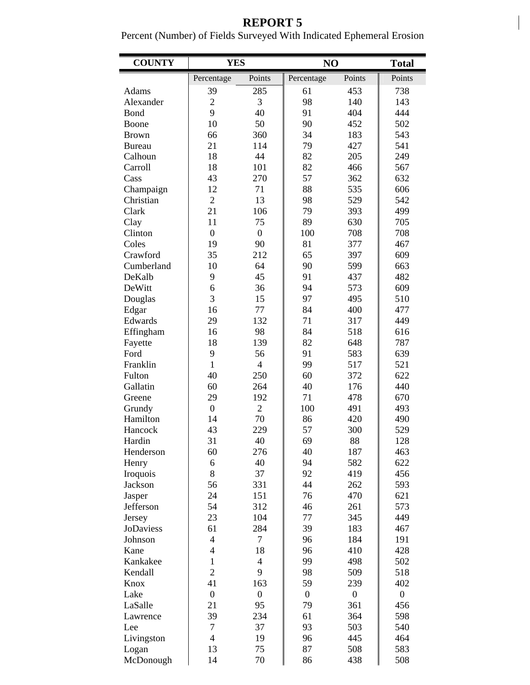# **REPORT 5**

 $\overline{\phantom{a}}$ 

Percent (Number) of Fields Surveyed With Indicated Ephemeral Erosion

| <b>COUNTY</b>      | <b>YES</b>               |                  | N <sub>O</sub> |                  | <b>Total</b>     |  |
|--------------------|--------------------------|------------------|----------------|------------------|------------------|--|
|                    | Percentage               | Points           | Percentage     | Points           | Points           |  |
| Adams              | 39                       | 285              | 61             | 453              | 738              |  |
| Alexander          | $\overline{2}$           | 3                | 98             | 140              | 143              |  |
| <b>Bond</b>        | 9                        | 40               | 91             | 404              | 444              |  |
| Boone              | 10                       | 50               | 90             | 452              | 502              |  |
| <b>Brown</b>       | 66                       | 360              | 34             | 183              | 543              |  |
| <b>Bureau</b>      | 21                       | 114              | 79             | 427              | 541              |  |
| Calhoun            | 18                       | 44               | 82             | 205              | 249              |  |
| Carroll            | 18                       | 101              | 82             | 466              | 567              |  |
| Cass               | 43                       | 270              | 57             | 362              | 632              |  |
| Champaign          | 12                       | 71               | 88             | 535              | 606              |  |
| Christian          | $\overline{2}$           | 13               | 98             | 529              | 542              |  |
| Clark              | 21                       | 106              | 79             | 393              | 499              |  |
| Clay               | 11                       | 75               | 89             | 630              | 705              |  |
| Clinton            | $\overline{0}$           | $\boldsymbol{0}$ | 100            | 708              | 708              |  |
| Coles              | 19                       | 90               | 81             | 377              | 467              |  |
| Crawford           | 35                       | 212              | 65             | 397              | 609              |  |
| Cumberland         | 10                       | 64               | 90             | 599              | 663              |  |
| DeKalb             | 9                        | 45               | 91             | 437              | 482              |  |
| DeWitt             | 6                        | 36               | 94             | 573              | 609              |  |
| Douglas            | $\overline{3}$           | 15               | 97             | 495              | 510              |  |
| Edgar              | 16                       | 77               | 84             | 400              | 477              |  |
| Edwards            | 29                       | 132              | 71             | 317              | 449              |  |
| Effingham          | 16                       | 98               | 84             | 518              | 616              |  |
| Fayette            | 18                       | 139              | 82             | 648              | 787              |  |
| Ford               | 9                        | 56               | 91             | 583              | 639              |  |
| Franklin           | $\mathbf{1}$             | $\overline{4}$   | 99             | 517              | 521              |  |
| Fulton             | 40                       | 250              | 60             | 372              | 622              |  |
| Gallatin           | 60                       | 264              | 40             | 176              | 440              |  |
| Greene             | 29                       | 192              | 71             | 478              | 670              |  |
| Grundy             | $\boldsymbol{0}$         | $\overline{c}$   | 100            | 491              | 493              |  |
| Hamilton           | 14                       | 70               | 86             | 420              | 490              |  |
| Hancock            | 43                       | 229              | 57             | 300              | 529              |  |
| Hardin             | 31                       | 40               | 69             | 88               | 128              |  |
| Henderson          | 60                       | 276              | 40             | 187              | 463              |  |
| Henry              | 6                        | 40               | 94             | 582              | 622              |  |
| Iroquois           | 8                        | 37               | 92             | 419              | 456              |  |
| Jackson            | 56                       | 331              | 44             | 262              | 593              |  |
| Jasper             | 24                       | 151              | 76             | 470              | 621              |  |
| Jefferson          | 54                       | 312              | 46             | 261              | 573              |  |
| Jersey             | 23                       | 104              | 77             | 345              | 449              |  |
| JoDaviess          | 61                       | 284              | 39             | 183              | 467              |  |
| Johnson            | $\overline{\mathcal{L}}$ | $\overline{7}$   | 96             | 184              | 191              |  |
| Kane               | $\overline{\mathcal{L}}$ | 18               | 96             | 410              | 428              |  |
| Kankakee           | $\mathbf{1}$             | $\overline{4}$   | 99             | 498              | 502              |  |
| Kendall            | $\overline{c}$           | 9                | 98             | 509              | 518              |  |
| Knox               | 41                       | 163              | 59             | 239              | 402              |  |
| Lake               | $\boldsymbol{0}$         | $\boldsymbol{0}$ | $\overline{0}$ | $\boldsymbol{0}$ | $\boldsymbol{0}$ |  |
| LaSalle            | 21                       | 95               | 79             | 361              | 456              |  |
| Lawrence           | 39                       | 234              | 61             | 364              | 598              |  |
| Lee                | 7                        | 37               | 93             | 503              | 540              |  |
| Livingston         | $\overline{4}$           | 19               | 96             | 445              | 464              |  |
| Logan<br>McDonough | 13<br>14                 | 75<br>70         | 87<br>86       | 508<br>438       | 583<br>508       |  |
|                    |                          |                  |                |                  |                  |  |